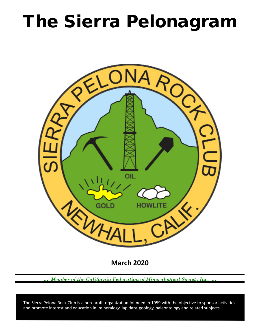# The Sierra Pelonagram



**March 2020**

*… Member of the California Federation of Mineralogical Society Inc. …*

 and promote interest and education in: mineralogy, lapidary, geology, paleontology and related subjects. The Sierra Pelona Rock Club is a non-profit organization founded in 1959 with the objective to sponsor activities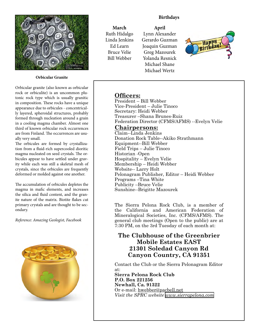

**Orbicular Granite**

Orbicular granite (also known as orbicular rock or orbiculite) is an uncommon plutonic rock type which is usually granitic in composition. These rocks have a unique appearance due to orbicules - concentrically layered, spheroidal structures, probably formed through nucleation around a grain in a cooling magma chamber. Almost one third of known orbicular rock occurrences are from Finland. The occurrences are usually very small.

The orbicules are formed by crystallization from a fluid-rich supercooled dioritic magma nucleated on seed crystals. The orbicules appear to have settled under gravity while each was still a skeletal mesh of crystals, since the orbicules are frequently deformed or molded against one another.

The accumulation of orbicules depletes the magma in mafic elements, and increases the silica and fluid content, and the granite nature of the matrix. Biotite flakes cut primary crystals and are thought to be secondary.

*Reference: Amazing Geologist, Facebook*



#### **Birthdays**

**April**

**March** Ruth Hidalgo Linda Jenkins Ed Learn Bruce Velie Bill Webber

Lynn Alexander Gerardo Guzman Joaquin Guzman Greg Mazourek Yolanda Resnick Michael Shane Michael Wertz



# **Officers:**

President – Bill Webber Vice‑President – Julie Tinoco Secretary: Heidi Webber Treasurer –Shana Brunes-Ruiz Federation Director (CFMS/AFMS) --Evelyn Velie

### **Chairpersons:**

Claim--Linda Jenkins Donation Rock Table--Akiko Strathmann Equipment--Bill Webber Field Trips – Julie Tinoco Historian ‑Open Hospitality – Evelyn Velie Membership – Heidi Webber Website-- Larry Holt Pelonagram Publisher, Editor – Heidi Webber Programs –Tina White Publicity –Bruce Velie Sunshine--Brigitte Mazourek

The Sierra Pelona Rock Club, is a member of the California and American Federation of Mineralogical Societies, Inc. (CFMS/AFMS). The general club meetings (Open to the public) are at 7:30 PM, on the 3rd Tuesday of each month at:

## **The Clubhouse of the Greenbrier Mobile Estates EAST 21301 Soledad Canyon Rd Canyon Country, CA 91351**

Contact the Club or the Sierra Pelonagram Editor at:

**Sierra Pelona Rock Club P.O. Box 221256 Newhall, Ca. 91322** Or e‑mail: hwebber@pacbell.net *Visit the SPRC website [www.sierrapelona.com](http://www.sierrapelona.com/)*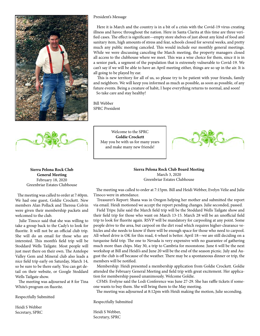

#### President's Message

 Here it is March and the country is in a bit of a crisis with the Covid-19 virus creating illness and havoc throughout the nation. Here in Santa Clarita at this time are three verified cases. The effect is significant—empty store shelves of just about any kind of food and sanitary item, high amounts of stress and fear, schools closed for several weeks, and pretty much any public meeting canceled. This would include our monthly general meetings. While we were discussing canceling the March meeting, the property managers closed all access to the clubhouse where we meet. This was a wise choice for them, since it is in a senior park, a segment of the population that is extremely vulnerable to Covid-19. We can't say if we will be able to have an April meeting either, things are so up in the air. It is all going to be played by ear.

 This is new territory for all of us, so please try to be patient with your friends, family and neighbors. We will keep you informed as much as possible, as soon as possible, of any future events. Being a creature of habit, I hope everything returns to normal, and soon! So take care and stay healthy!

Bill Webber SPRC President



Welcome to the SPRC **Goldie Crockett** May you be with us for many years and make many new friends!



**Sierra Pelona Rock Club Board Meeting** March 3, 2020 Greenbriar Estates Clubhouse

**Sierra Pelona Rock Club General Meeting** February 18, 2020 Greenbriar Estates Clubhouse

 The meeting was called to order at 7:40pm. We had one guest, Goldie Crockett. New members Alan Pollack and Theresa Colvin were given their membership packets and welcomed to the club.

 Julie Tinoco said that she was willing to take a group back to the Cady's to look for fluorite. It will not be an official club trip. She will do an email for those who are interested. This month's field trip will be Stoddard Wells Tailgate. Most people will just meet there on their own. The Antelope Valley Gem and Mineral club also leads a nice field trip early on Saturday, March 14, so be sure to be there early. You can get detail on their website, or Google Stoddard Wells Tailgate show.

 The meeting was adjourned at 8 for Tina White's program on fluorite.

Respectfully Submitted

Heidi S Webber Secretary, SPRC

 The meeting was called to order at 7:15pm. Bill and Heidi Webber, Evelyn Velie and Julie Tinoco were in attendance.

 Treasurer's Report: Shana was in Oregon helping her mother and submitted the report via email. Heidi motioned we accept the report pending changes. Julie seconded, passed.

 Field Trips: Julie said the March field trip will be the Stoddard Wells Tailgate show and their field trip for those who want on March 13-15. March 28 will be an unofficial field trip to look for fluorite again. RSVP will be mandatory for carpooling at any point. Some people drive to the area, but carpool on the dirt road which requires higher-clearance vehicles and she needs to know if there will be enough space for those who need to carpool. All-wheel drive is OK for this road, 4-wheel is better. April 18—we are still deciding on a turquoise field trip. The one to Nevada is very expensive with no guarantee of gathering much more than chips. May 30, a trip to Cambria for moonstone. June 6 will be the next workshop at Bill and Heidi's and June 20 will be the end of the season picnic. July and August the club is off because of the weather. There may be a spontaneous dinner or trip, the members will be notified.

 Membership: Heidi presented a membership application from Goldie Crockett. Goldie attended the February General Meeting and field trip with great excitement. Her application for membership passed unanimously. Welcome Goldie.

 CFMS: Evelyne said the Lodi Conference was June 27-29. She has raffle tickets if someone wants to buy them. She will bring them to the May meeting.

The meeting was adjourned at 8:12pm with Heidi making the motion, Julie seconding.

Respectfully Submitted

Heidi S Webber, Secretary, SPRC